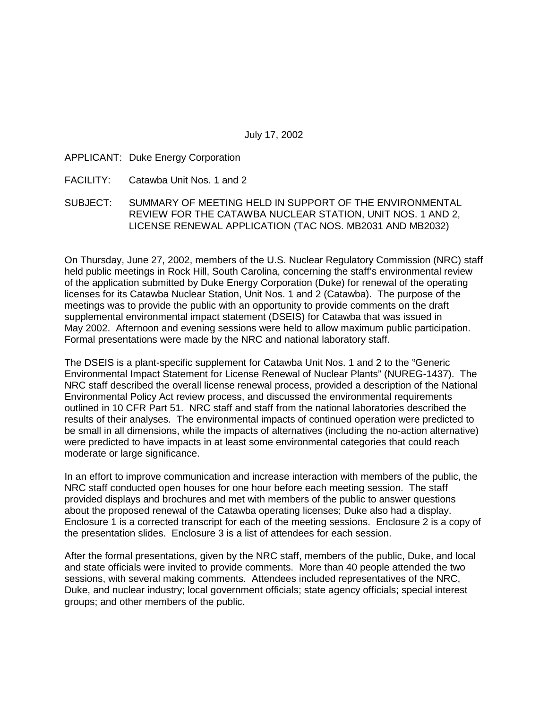## APPLICANT: Duke Energy Corporation

- FACILITY: Catawba Unit Nos. 1 and 2
- SUBJECT: SUMMARY OF MEETING HELD IN SUPPORT OF THE ENVIRONMENTAL REVIEW FOR THE CATAWBA NUCLEAR STATION, UNIT NOS. 1 AND 2, LICENSE RENEWAL APPLICATION (TAC NOS. MB2031 AND MB2032)

On Thursday, June 27, 2002, members of the U.S. Nuclear Regulatory Commission (NRC) staff held public meetings in Rock Hill, South Carolina, concerning the staff's environmental review of the application submitted by Duke Energy Corporation (Duke) for renewal of the operating licenses for its Catawba Nuclear Station, Unit Nos. 1 and 2 (Catawba). The purpose of the meetings was to provide the public with an opportunity to provide comments on the draft supplemental environmental impact statement (DSEIS) for Catawba that was issued in May 2002. Afternoon and evening sessions were held to allow maximum public participation. Formal presentations were made by the NRC and national laboratory staff.

The DSEIS is a plant-specific supplement for Catawba Unit Nos. 1 and 2 to the "Generic" Environmental Impact Statement for License Renewal of Nuclear Plants" (NUREG-1437). The NRC staff described the overall license renewal process, provided a description of the National Environmental Policy Act review process, and discussed the environmental requirements outlined in 10 CFR Part 51. NRC staff and staff from the national laboratories described the results of their analyses. The environmental impacts of continued operation were predicted to be small in all dimensions, while the impacts of alternatives (including the no-action alternative) were predicted to have impacts in at least some environmental categories that could reach moderate or large significance.

In an effort to improve communication and increase interaction with members of the public, the NRC staff conducted open houses for one hour before each meeting session. The staff provided displays and brochures and met with members of the public to answer questions about the proposed renewal of the Catawba operating licenses; Duke also had a display. Enclosure 1 is a corrected transcript for each of the meeting sessions. Enclosure 2 is a copy of the presentation slides. Enclosure 3 is a list of attendees for each session.

After the formal presentations, given by the NRC staff, members of the public, Duke, and local and state officials were invited to provide comments. More than 40 people attended the two sessions, with several making comments. Attendees included representatives of the NRC, Duke, and nuclear industry; local government officials; state agency officials; special interest groups; and other members of the public.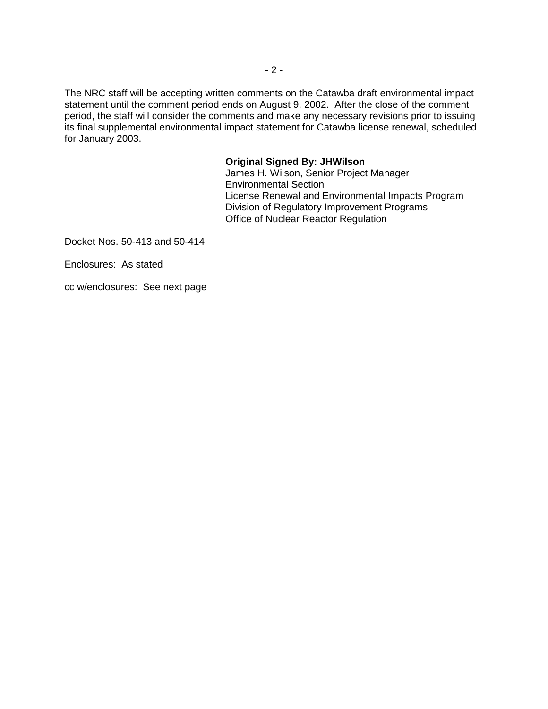The NRC staff will be accepting written comments on the Catawba draft environmental impact statement until the comment period ends on August 9, 2002. After the close of the comment period, the staff will consider the comments and make any necessary revisions prior to issuing its final supplemental environmental impact statement for Catawba license renewal, scheduled for January 2003.

#### **Original Signed By: JHWilson**

James H. Wilson, Senior Project Manager Environmental Section License Renewal and Environmental Impacts Program Division of Regulatory Improvement Programs Office of Nuclear Reactor Regulation

Docket Nos. 50-413 and 50-414

Enclosures: As stated

cc w/enclosures: See next page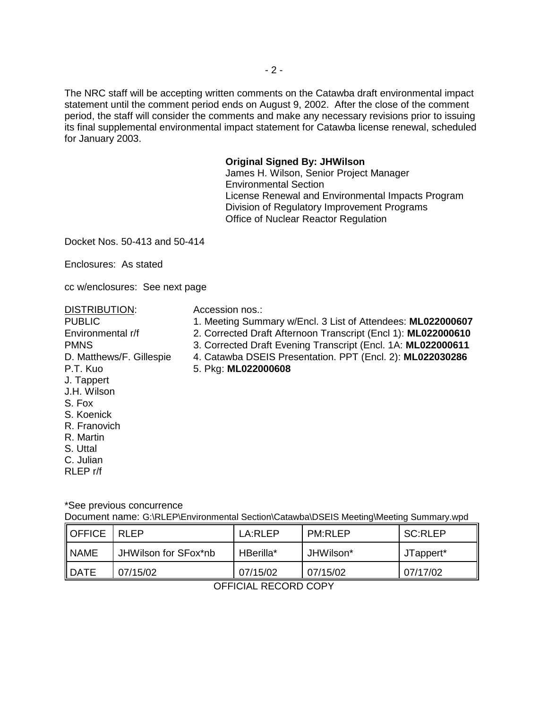The NRC staff will be accepting written comments on the Catawba draft environmental impact statement until the comment period ends on August 9, 2002. After the close of the comment period, the staff will consider the comments and make any necessary revisions prior to issuing its final supplemental environmental impact statement for Catawba license renewal, scheduled for January 2003.

### **Original Signed By: JHWilson**

James H. Wilson, Senior Project Manager Environmental Section License Renewal and Environmental Impacts Program Division of Regulatory Improvement Programs Office of Nuclear Reactor Regulation

Docket Nos. 50-413 and 50-414

Enclosures: As stated

cc w/enclosures: See next page

DISTRIBUTION: Accession nos.:

- PUBLIC 1. Meeting Summary w/Encl. 3 List of Attendees: **ML022000607**
- Environmental r/f 2. Corrected Draft Afternoon Transcript (Encl 1): **ML022000610**
- PMNS 3. Corrected Draft Evening Transcript (Encl. 1A: **ML022000611**
- D. Matthews/F. Gillespie 4. Catawba DSEIS Presentation. PPT (Encl. 2): **ML022030286**
- P.T. Kuo 5. Pkg: **ML022000608**
- J.H. Wilson S. Fox

J. Tappert

- S. Koenick
- R. Franovich
- R. Martin
- S. Uttal
- C. Julian
- RLEP r/f

\*See previous concurrence

Document name: G:\RLEP\Environmental Section\Catawba\DSEIS Meeting\Meeting Summary.wpd

| <b>I</b> OFFICE | RI FP                | LA:RLEP   | <b>PM:RLEP</b> | <b>SC:RLEP</b> |
|-----------------|----------------------|-----------|----------------|----------------|
| <b>NAME</b>     | JHWilson for SFox*nb | HBerilla* | JHWilson*      | JTappert*      |
| <b>I</b> DATE   | 07/15/02             | 07/15/02  | 07/15/02       | 07/17/02       |

OFFICIAL RECORD COPY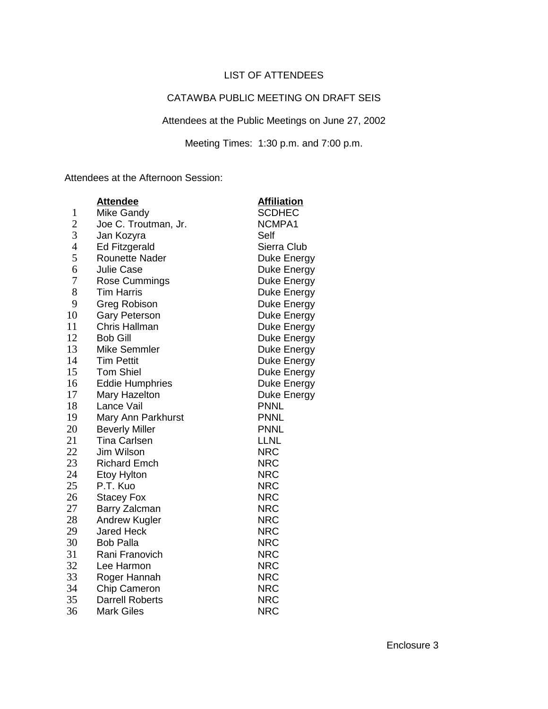# LIST OF ATTENDEES

## CATAWBA PUBLIC MEETING ON DRAFT SEIS

Attendees at the Public Meetings on June 27, 2002

Meeting Times: 1:30 p.m. and 7:00 p.m.

Attendees at the Afternoon Session:

|                | <b>Attendee</b>        | <b>Affiliation</b> |
|----------------|------------------------|--------------------|
| $\mathbf{1}$   | <b>Mike Gandy</b>      | <b>SCDHEC</b>      |
| 2              | Joe C. Troutman, Jr.   | NCMPA1             |
| 3              | Jan Kozyra             | Self               |
| $\overline{4}$ | <b>Ed Fitzgerald</b>   | Sierra Club        |
| 5              | <b>Rounette Nader</b>  | Duke Energy        |
| 6              | <b>Julie Case</b>      | Duke Energy        |
| 7              | Rose Cummings          | Duke Energy        |
| 8              | <b>Tim Harris</b>      | Duke Energy        |
| 9              | <b>Greg Robison</b>    | Duke Energy        |
| 10             | <b>Gary Peterson</b>   | Duke Energy        |
| 11             | <b>Chris Hallman</b>   | Duke Energy        |
| 12             | <b>Bob Gill</b>        | Duke Energy        |
| 13             | <b>Mike Semmler</b>    | Duke Energy        |
| 14             | <b>Tim Pettit</b>      | Duke Energy        |
| 15             | <b>Tom Shiel</b>       | Duke Energy        |
| 16             | <b>Eddie Humphries</b> | Duke Energy        |
| 17             | Mary Hazelton          | Duke Energy        |
| 18             | Lance Vail             | <b>PNNL</b>        |
| 19             | Mary Ann Parkhurst     | <b>PNNL</b>        |
| 20             | <b>Beverly Miller</b>  | <b>PNNL</b>        |
| 21             | <b>Tina Carlsen</b>    | <b>LLNL</b>        |
| 22             | Jim Wilson             | <b>NRC</b>         |
| 23             | <b>Richard Emch</b>    | <b>NRC</b>         |
| 24             | Etoy Hylton            | <b>NRC</b>         |
| 25             | P.T. Kuo               | <b>NRC</b>         |
| 26             | <b>Stacey Fox</b>      | <b>NRC</b>         |
| 27             | Barry Zalcman          | <b>NRC</b>         |
| 28             | Andrew Kugler          | <b>NRC</b>         |
| 29             | <b>Jared Heck</b>      | <b>NRC</b>         |
| 30             | <b>Bob Palla</b>       | <b>NRC</b>         |
| 31             | Rani Franovich         | <b>NRC</b>         |
| 32             | Lee Harmon             | <b>NRC</b>         |
| 33             | Roger Hannah           | <b>NRC</b>         |
| 34             | Chip Cameron           | <b>NRC</b>         |
| 35             | <b>Darrell Roberts</b> | <b>NRC</b>         |
| 36             | <b>Mark Giles</b>      | <b>NRC</b>         |